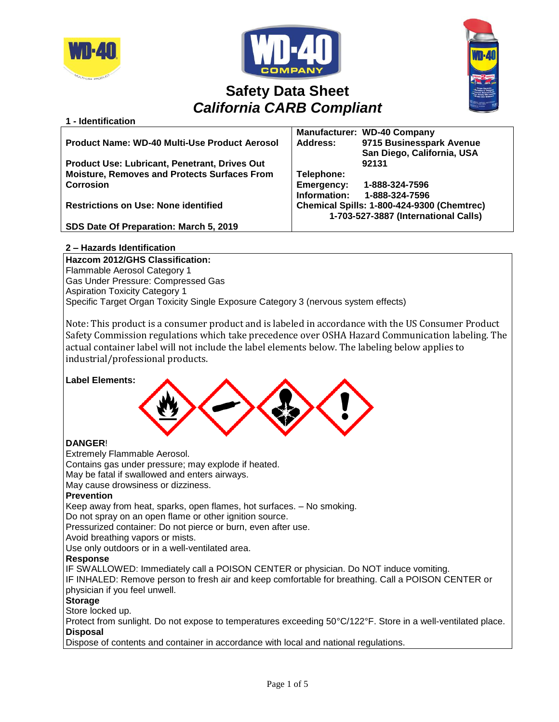

**1 - Identification**





# **Safety Data Sheet** *California CARB Compliant*

|                                                      | <b>Manufacturer: WD-40 Company</b>          |  |
|------------------------------------------------------|---------------------------------------------|--|
| Product Name: WD-40 Multi-Use Product Aerosol        | 9715 Businesspark Avenue<br><b>Address:</b> |  |
|                                                      | San Diego, California, USA                  |  |
| <b>Product Use: Lubricant, Penetrant, Drives Out</b> | 92131                                       |  |
| <b>Moisture, Removes and Protects Surfaces From</b>  | Telephone:                                  |  |
| <b>Corrosion</b>                                     | Emergency:<br>1-888-324-7596                |  |
|                                                      | Information:<br>1-888-324-7596              |  |
| <b>Restrictions on Use: None identified</b>          | Chemical Spills: 1-800-424-9300 (Chemtrec)  |  |
|                                                      | 1-703-527-3887 (International Calls)        |  |
| SDS Date Of Preparation: March 5, 2019               |                                             |  |

# **2 – Hazards Identification**

**Hazcom 2012/GHS Classification:** Flammable Aerosol Category 1 Gas Under Pressure: Compressed Gas Aspiration Toxicity Category 1 Specific Target Organ Toxicity Single Exposure Category 3 (nervous system effects)

Note: This product is a consumer product and is labeled in accordance with the US Consumer Product Safety Commission regulations which take precedence over OSHA Hazard Communication labeling. The actual container label will not include the label elements below. The labeling below applies to industrial/professional products.

# **Label Elements:**



# **DANGER**!

Extremely Flammable Aerosol.

Contains gas under pressure; may explode if heated.

May be fatal if swallowed and enters airways.

May cause drowsiness or dizziness.

# **Prevention**

Keep away from heat, sparks, open flames, hot surfaces. – No smoking.

Do not spray on an open flame or other ignition source.

Pressurized container: Do not pierce or burn, even after use.

Avoid breathing vapors or mists.

Use only outdoors or in a well-ventilated area.

# **Response**

IF SWALLOWED: Immediately call a POISON CENTER or physician. Do NOT induce vomiting.

IF INHALED: Remove person to fresh air and keep comfortable for breathing. Call a POISON CENTER or physician if you feel unwell.

# **Storage**

Store locked up.

Protect from sunlight. Do not expose to temperatures exceeding 50°C/122°F. Store in a well-ventilated place. **Disposal**

Dispose of contents and container in accordance with local and national regulations.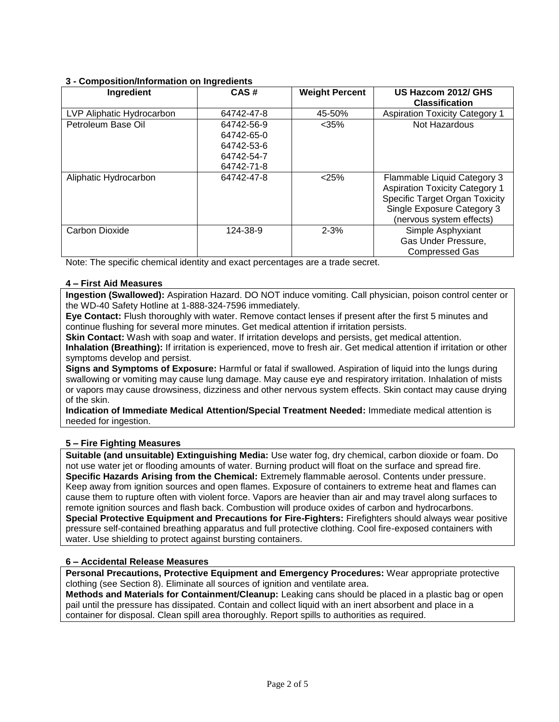# **3 - Composition/Information on Ingredients**

| Ingredient                | CAS#       | <b>Weight Percent</b> | US Hazcom 2012/ GHS<br><b>Classification</b> |
|---------------------------|------------|-----------------------|----------------------------------------------|
| LVP Aliphatic Hydrocarbon | 64742-47-8 | 45-50%                | <b>Aspiration Toxicity Category 1</b>        |
| Petroleum Base Oil        | 64742-56-9 | $<$ 35%               | Not Hazardous                                |
|                           | 64742-65-0 |                       |                                              |
|                           | 64742-53-6 |                       |                                              |
|                           | 64742-54-7 |                       |                                              |
|                           | 64742-71-8 |                       |                                              |
| Aliphatic Hydrocarbon     | 64742-47-8 | < 25%                 | Flammable Liquid Category 3                  |
|                           |            |                       | <b>Aspiration Toxicity Category 1</b>        |
|                           |            |                       | Specific Target Organ Toxicity               |
|                           |            |                       | Single Exposure Category 3                   |
|                           |            |                       | (nervous system effects)                     |
| Carbon Dioxide            | 124-38-9   | $2 - 3%$              | Simple Asphyxiant                            |
|                           |            |                       | Gas Under Pressure,                          |
|                           |            |                       | <b>Compressed Gas</b>                        |

Note: The specific chemical identity and exact percentages are a trade secret.

# **4 – First Aid Measures**

**Ingestion (Swallowed):** Aspiration Hazard. DO NOT induce vomiting. Call physician, poison control center or the WD-40 Safety Hotline at 1-888-324-7596 immediately.

**Eye Contact:** Flush thoroughly with water. Remove contact lenses if present after the first 5 minutes and continue flushing for several more minutes. Get medical attention if irritation persists.

**Skin Contact:** Wash with soap and water. If irritation develops and persists, get medical attention.

**Inhalation (Breathing):** If irritation is experienced, move to fresh air. Get medical attention if irritation or other symptoms develop and persist.

**Signs and Symptoms of Exposure:** Harmful or fatal if swallowed. Aspiration of liquid into the lungs during swallowing or vomiting may cause lung damage. May cause eye and respiratory irritation. Inhalation of mists or vapors may cause drowsiness, dizziness and other nervous system effects. Skin contact may cause drying of the skin.

**Indication of Immediate Medical Attention/Special Treatment Needed:** Immediate medical attention is needed for ingestion.

# **5 – Fire Fighting Measures**

**Suitable (and unsuitable) Extinguishing Media:** Use water fog, dry chemical, carbon dioxide or foam. Do not use water jet or flooding amounts of water. Burning product will float on the surface and spread fire. **Specific Hazards Arising from the Chemical:** Extremely flammable aerosol. Contents under pressure. Keep away from ignition sources and open flames. Exposure of containers to extreme heat and flames can cause them to rupture often with violent force. Vapors are heavier than air and may travel along surfaces to remote ignition sources and flash back. Combustion will produce oxides of carbon and hydrocarbons. **Special Protective Equipment and Precautions for Fire-Fighters:** Firefighters should always wear positive pressure self-contained breathing apparatus and full protective clothing. Cool fire-exposed containers with water. Use shielding to protect against bursting containers.

# **6 – Accidental Release Measures**

**Personal Precautions, Protective Equipment and Emergency Procedures:** Wear appropriate protective clothing (see Section 8). Eliminate all sources of ignition and ventilate area.

**Methods and Materials for Containment/Cleanup:** Leaking cans should be placed in a plastic bag or open pail until the pressure has dissipated. Contain and collect liquid with an inert absorbent and place in a container for disposal. Clean spill area thoroughly. Report spills to authorities as required.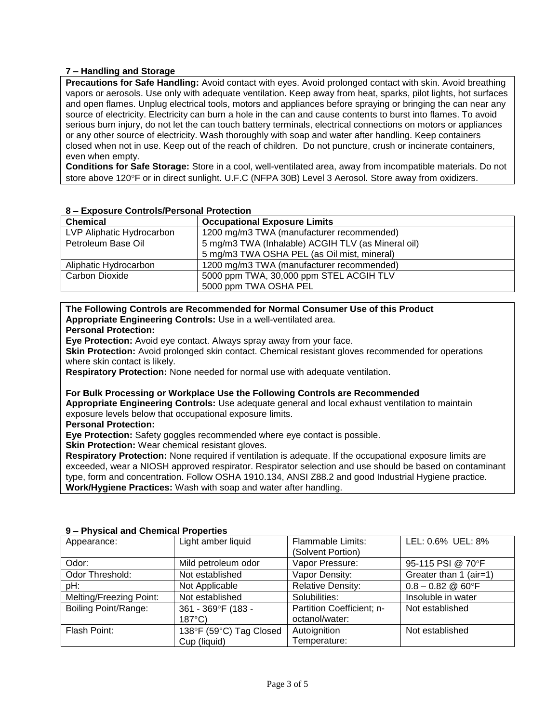# **7 – Handling and Storage**

**Precautions for Safe Handling:** Avoid contact with eyes. Avoid prolonged contact with skin. Avoid breathing vapors or aerosols. Use only with adequate ventilation. Keep away from heat, sparks, pilot lights, hot surfaces and open flames. Unplug electrical tools, motors and appliances before spraying or bringing the can near any source of electricity. Electricity can burn a hole in the can and cause contents to burst into flames. To avoid serious burn injury, do not let the can touch battery terminals, electrical connections on motors or appliances or any other source of electricity. Wash thoroughly with soap and water after handling. Keep containers closed when not in use. Keep out of the reach of children. Do not puncture, crush or incinerate containers, even when empty.

**Conditions for Safe Storage:** Store in a cool, well-ventilated area, away from incompatible materials. Do not store above 120°F or in direct sunlight. U.F.C (NFPA 30B) Level 3 Aerosol. Store away from oxidizers.

| EADOSUI U OSIIII OISII UISOIIUI I TOIUOIIOII |                                                    |  |
|----------------------------------------------|----------------------------------------------------|--|
| <b>Chemical</b>                              | <b>Occupational Exposure Limits</b>                |  |
| LVP Aliphatic Hydrocarbon                    | 1200 mg/m3 TWA (manufacturer recommended)          |  |
| Petroleum Base Oil                           | 5 mg/m3 TWA (Inhalable) ACGIH TLV (as Mineral oil) |  |
|                                              | 5 mg/m3 TWA OSHA PEL (as Oil mist, mineral)        |  |
| Aliphatic Hydrocarbon                        | 1200 mg/m3 TWA (manufacturer recommended)          |  |
| Carbon Dioxide                               | 5000 ppm TWA, 30,000 ppm STEL ACGIH TLV            |  |
|                                              | 5000 ppm TWA OSHA PEL                              |  |

# **8 – Exposure Controls/Personal Protection**

# **The Following Controls are Recommended for Normal Consumer Use of this Product Appropriate Engineering Controls:** Use in a well-ventilated area.

#### **Personal Protection:**

**Eye Protection:** Avoid eye contact. Always spray away from your face.

**Skin Protection:** Avoid prolonged skin contact. Chemical resistant gloves recommended for operations where skin contact is likely.

**Respiratory Protection:** None needed for normal use with adequate ventilation.

#### **For Bulk Processing or Workplace Use the Following Controls are Recommended**

**Appropriate Engineering Controls:** Use adequate general and local exhaust ventilation to maintain exposure levels below that occupational exposure limits.

**Personal Protection:**

**Eye Protection:** Safety goggles recommended where eye contact is possible.

**Skin Protection:** Wear chemical resistant gloves.

**Respiratory Protection:** None required if ventilation is adequate. If the occupational exposure limits are exceeded, wear a NIOSH approved respirator. Respirator selection and use should be based on contaminant type, form and concentration. Follow OSHA 1910.134, ANSI Z88.2 and good Industrial Hygiene practice. **Work/Hygiene Practices:** Wash with soap and water after handling.

| 9 – Physical and Chemical Properties |                         |                           |                             |  |
|--------------------------------------|-------------------------|---------------------------|-----------------------------|--|
| Appearance:                          | Light amber liquid      | <b>Flammable Limits:</b>  | LEL: 0.6% UEL: 8%           |  |
|                                      |                         | (Solvent Portion)         |                             |  |
| Odor:                                | Mild petroleum odor     | Vapor Pressure:           | 95-115 PSI @ 70°F           |  |
| Odor Threshold:                      | Not established         | Vapor Density:            | Greater than 1 (air=1)      |  |
| pH:                                  | Not Applicable          | <b>Relative Density:</b>  | $0.8 - 0.82 \& 60^{\circ}F$ |  |
| Melting/Freezing Point:              | Not established         | Solubilities:             | Insoluble in water          |  |
| Boiling Point/Range:                 | 361 - 369°F (183 -      | Partition Coefficient; n- | Not established             |  |
|                                      | $187^{\circ}$ C)        | octanol/water:            |                             |  |
| Flash Point:                         | 138°F (59°C) Tag Closed | Autoignition              | Not established             |  |
|                                      | Cup (liquid)            | Temperature:              |                             |  |

# **9 – Physical and Chemical Properties**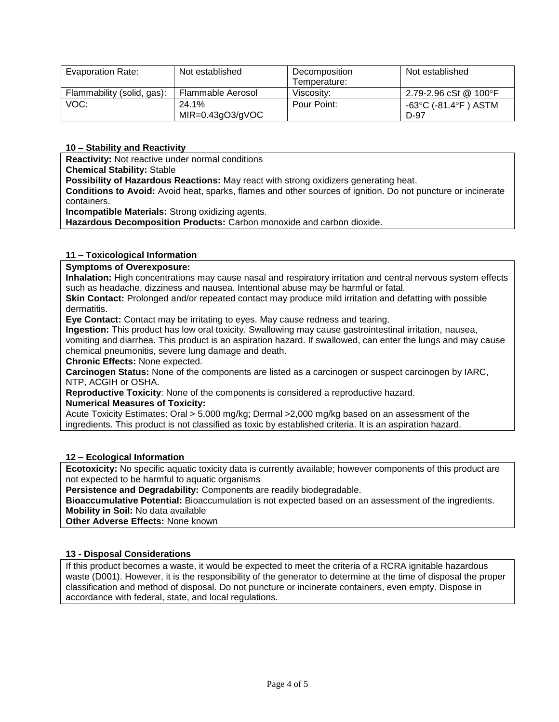| Evaporation Rate:          | Not established      | Decomposition | Not established       |
|----------------------------|----------------------|---------------|-----------------------|
|                            |                      | Temperature:  |                       |
| Flammability (solid, gas): | Flammable Aerosol    | Viscositv:    | 2.79-2.96 cSt @ 100°F |
| VOC:                       | 24.1%                | Pour Point:   | -63°C (-81.4°F ) ASTM |
|                            | $MIR = 0.43gO3/gVOC$ |               | $D-97$                |

# **10 – Stability and Reactivity**

**Reactivity:** Not reactive under normal conditions

**Chemical Stability:** Stable

**Possibility of Hazardous Reactions:** May react with strong oxidizers generating heat.

**Conditions to Avoid:** Avoid heat, sparks, flames and other sources of ignition. Do not puncture or incinerate containers.

**Incompatible Materials:** Strong oxidizing agents.

**Hazardous Decomposition Products:** Carbon monoxide and carbon dioxide.

# **11 – Toxicological Information**

**Symptoms of Overexposure:**

**Inhalation:** High concentrations may cause nasal and respiratory irritation and central nervous system effects such as headache, dizziness and nausea. Intentional abuse may be harmful or fatal.

**Skin Contact:** Prolonged and/or repeated contact may produce mild irritation and defatting with possible dermatitis.

**Eye Contact:** Contact may be irritating to eyes. May cause redness and tearing.

**Ingestion:** This product has low oral toxicity. Swallowing may cause gastrointestinal irritation, nausea, vomiting and diarrhea. This product is an aspiration hazard. If swallowed, can enter the lungs and may cause

chemical pneumonitis, severe lung damage and death.

**Chronic Effects:** None expected.

**Carcinogen Status:** None of the components are listed as a carcinogen or suspect carcinogen by IARC, NTP, ACGIH or OSHA.

**Reproductive Toxicity**: None of the components is considered a reproductive hazard.

# **Numerical Measures of Toxicity:**

Acute Toxicity Estimates: Oral > 5,000 mg/kg; Dermal >2,000 mg/kg based on an assessment of the ingredients. This product is not classified as toxic by established criteria. It is an aspiration hazard.

# **12 – Ecological Information**

**Ecotoxicity:** No specific aquatic toxicity data is currently available; however components of this product are not expected to be harmful to aquatic organisms

**Persistence and Degradability:** Components are readily biodegradable.

**Bioaccumulative Potential:** Bioaccumulation is not expected based on an assessment of the ingredients. **Mobility in Soil:** No data available

**Other Adverse Effects:** None known

# **13 - Disposal Considerations**

If this product becomes a waste, it would be expected to meet the criteria of a RCRA ignitable hazardous waste (D001). However, it is the responsibility of the generator to determine at the time of disposal the proper classification and method of disposal. Do not puncture or incinerate containers, even empty. Dispose in accordance with federal, state, and local regulations.